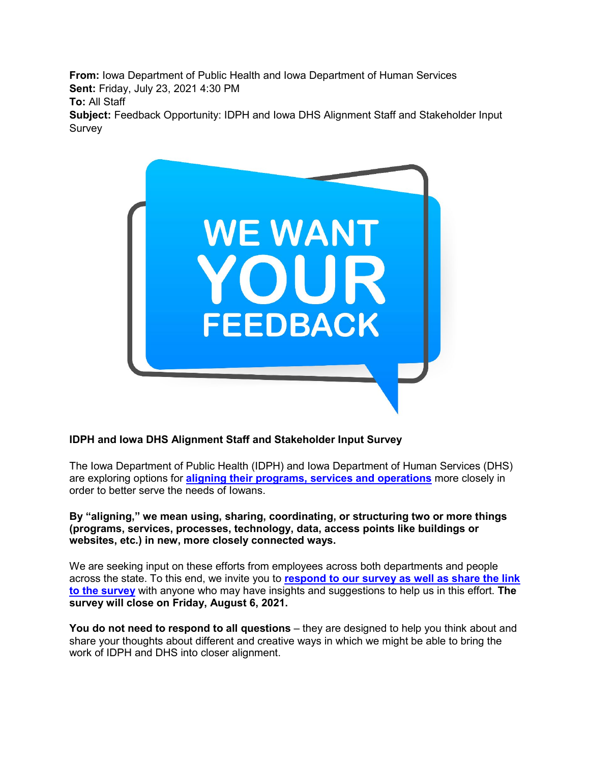**From:** Iowa Department of Public Health and Iowa Department of Human Services **Sent:** Friday, July 23, 2021 4:30 PM **To:** All Staff **Subject:** Feedback Opportunity: IDPH and Iowa DHS Alignment Staff and Stakeholder Input

Survey

**WE WANT EEDBACK** 

## **IDPH and Iowa DHS Alignment Staff and Stakeholder Input Survey**

The Iowa Department of Public Health (IDPH) and Iowa Department of Human Services (DHS) are exploring options for **[aligning their programs, services and operations](https://hhsalignment.iowa.gov/)** more closely in order to better serve the needs of Iowans.

**By "aligning," we mean using, sharing, coordinating, or structuring two or more things (programs, services, processes, technology, data, access points like buildings or websites, etc.) in new, more closely connected ways.**

We are seeking input on these efforts from employees across both departments and people across the state. To this end, we invite you to **[respond to our survey as well as share the link](https://forms.office.com/r/SF64dmc9S3)  [to the survey](https://forms.office.com/r/SF64dmc9S3)** with anyone who may have insights and suggestions to help us in this effort. **The survey will close on Friday, August 6, 2021.**

**You do not need to respond to all questions** – they are designed to help you think about and share your thoughts about different and creative ways in which we might be able to bring the work of IDPH and DHS into closer alignment.